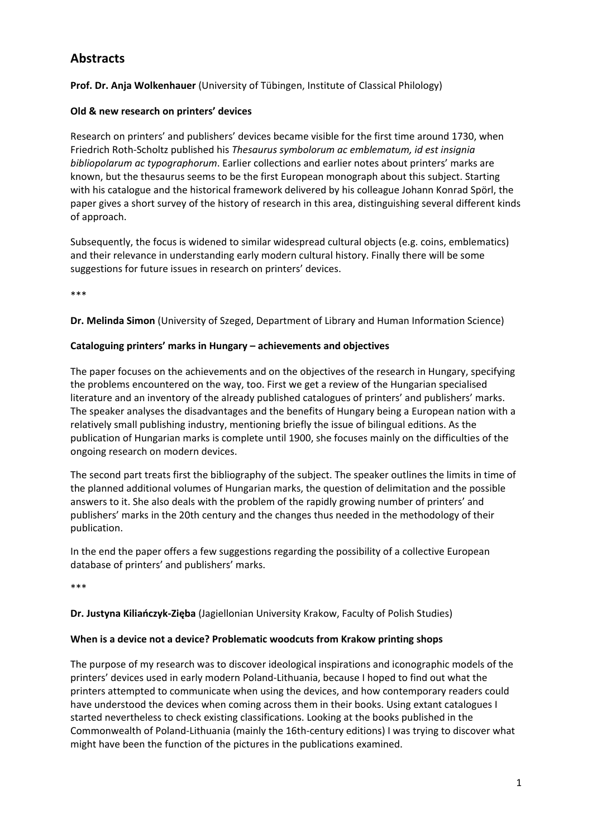# **Abstracts**

**Prof. Dr. Anja Wolkenhauer** (University of Tübingen, Institute of Classical Philology)

## **Old & new research on printers' devices**

Research on printers' and publishers' devices became visible for the first time around 1730, when Friedrich Roth‐Scholtz published his *Thesaurus symbolorum ac emblematum, id est insignia bibliopolarum ac typographorum*. Earlier collections and earlier notes about printers' marks are known, but the thesaurus seems to be the first European monograph about this subject. Starting with his catalogue and the historical framework delivered by his colleague Johann Konrad Spörl, the paper gives a short survey of the history of research in this area, distinguishing several different kinds of approach.

Subsequently, the focus is widened to similar widespread cultural objects (e.g. coins, emblematics) and their relevance in understanding early modern cultural history. Finally there will be some suggestions for future issues in research on printers' devices.

\*\*\*

**Dr. Melinda Simon** (University of Szeged, Department of Library and Human Information Science)

## **Cataloguing printers' marks in Hungary – achievements and objectives**

The paper focuses on the achievements and on the objectives of the research in Hungary, specifying the problems encountered on the way, too. First we get a review of the Hungarian specialised literature and an inventory of the already published catalogues of printers' and publishers' marks. The speaker analyses the disadvantages and the benefits of Hungary being a European nation with a relatively small publishing industry, mentioning briefly the issue of bilingual editions. As the publication of Hungarian marks is complete until 1900, she focuses mainly on the difficulties of the ongoing research on modern devices.

The second part treats first the bibliography of the subject. The speaker outlines the limits in time of the planned additional volumes of Hungarian marks, the question of delimitation and the possible answers to it. She also deals with the problem of the rapidly growing number of printers' and publishers' marks in the 20th century and the changes thus needed in the methodology of their publication.

In the end the paper offers a few suggestions regarding the possibility of a collective European database of printers' and publishers' marks.

\*\*\*

**Dr. Justyna Kiliańczyk‐Zięba** (Jagiellonian University Krakow, Faculty of Polish Studies)

### **When is a device not a device? Problematic woodcuts from Krakow printing shops**

The purpose of my research was to discover ideological inspirations and iconographic models of the printers' devices used in early modern Poland‐Lithuania, because I hoped to find out what the printers attempted to communicate when using the devices, and how contemporary readers could have understood the devices when coming across them in their books. Using extant catalogues I started nevertheless to check existing classifications. Looking at the books published in the Commonwealth of Poland‐Lithuania (mainly the 16th‐century editions) I was trying to discover what might have been the function of the pictures in the publications examined.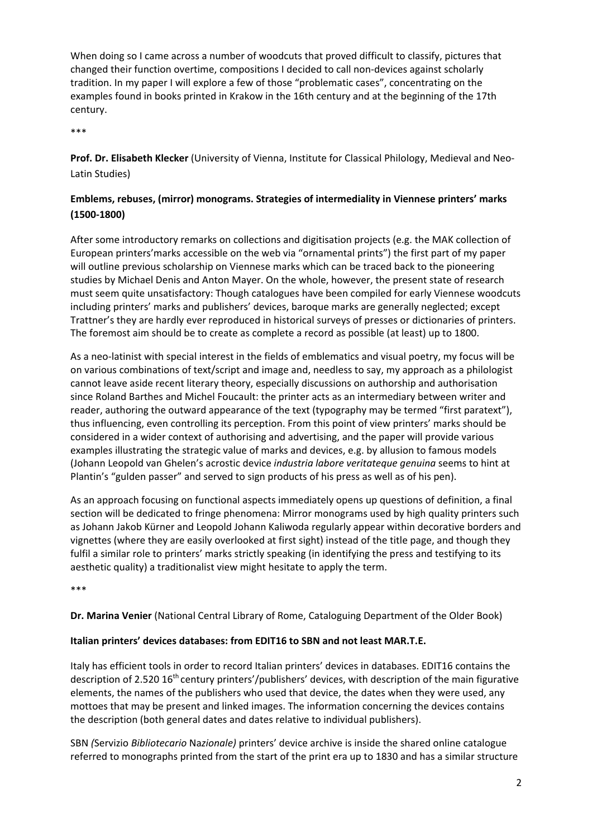When doing so I came across a number of woodcuts that proved difficult to classify, pictures that changed their function overtime, compositions I decided to call non-devices against scholarly tradition. In my paper I will explore a few of those "problematic cases", concentrating on the examples found in books printed in Krakow in the 16th century and at the beginning of the 17th century.

\*\*\*

**Prof. Dr. Elisabeth Klecker** (University of Vienna, Institute for Classical Philology, Medieval and Neo‐ Latin Studies)

# **Emblems, rebuses, (mirror) monograms. Strategies of intermediality in Viennese printers' marks (1500‐1800)**

After some introductory remarks on collections and digitisation projects (e.g. the MAK collection of European printers'marks accessible on the web via "ornamental prints") the first part of my paper will outline previous scholarship on Viennese marks which can be traced back to the pioneering studies by Michael Denis and Anton Mayer. On the whole, however, the present state of research must seem quite unsatisfactory: Though catalogues have been compiled for early Viennese woodcuts including printers' marks and publishers' devices, baroque marks are generally neglected; except Trattner's they are hardly ever reproduced in historical surveys of presses or dictionaries of printers. The foremost aim should be to create as complete a record as possible (at least) up to 1800.

As a neo‐latinist with special interest in the fields of emblematics and visual poetry, my focus will be on various combinations of text/script and image and, needless to say, my approach as a philologist cannot leave aside recent literary theory, especially discussions on authorship and authorisation since Roland Barthes and Michel Foucault: the printer acts as an intermediary between writer and reader, authoring the outward appearance of the text (typography may be termed "first paratext"), thus influencing, even controlling its perception. From this point of view printers' marks should be considered in a wider context of authorising and advertising, and the paper will provide various examples illustrating the strategic value of marks and devices, e.g. by allusion to famous models (Johann Leopold van Ghelen's acrostic device *industria labore veritateque genuina* seems to hint at Plantin's "gulden passer" and served to sign products of his press as well as of his pen).

As an approach focusing on functional aspects immediately opens up questions of definition, a final section will be dedicated to fringe phenomena: Mirror monograms used by high quality printers such as Johann Jakob Kürner and Leopold Johann Kaliwoda regularly appear within decorative borders and vignettes (where they are easily overlooked at first sight) instead of the title page, and though they fulfil a similar role to printers' marks strictly speaking (in identifying the press and testifying to its aesthetic quality) a traditionalist view might hesitate to apply the term.

\*\*\*

**Dr. Marina Venier** (National Central Library of Rome, Cataloguing Department of the Older Book)

### **Italian printers' devices databases: from EDIT16 to SBN and not least MAR.T.E.**

Italy has efficient tools in order to record Italian printers' devices in databases. EDIT16 contains the description of 2.520 16<sup>th</sup> century printers'/publishers' devices, with description of the main figurative elements, the names of the publishers who used that device, the dates when they were used, any mottoes that may be present and linked images. The information concerning the devices contains the description (both general dates and dates relative to individual publishers).

SBN *(*Servizio *Bibliotecario* Na*zionale)* printers' device archive is inside the shared online catalogue referred to monographs printed from the start of the print era up to 1830 and has a similar structure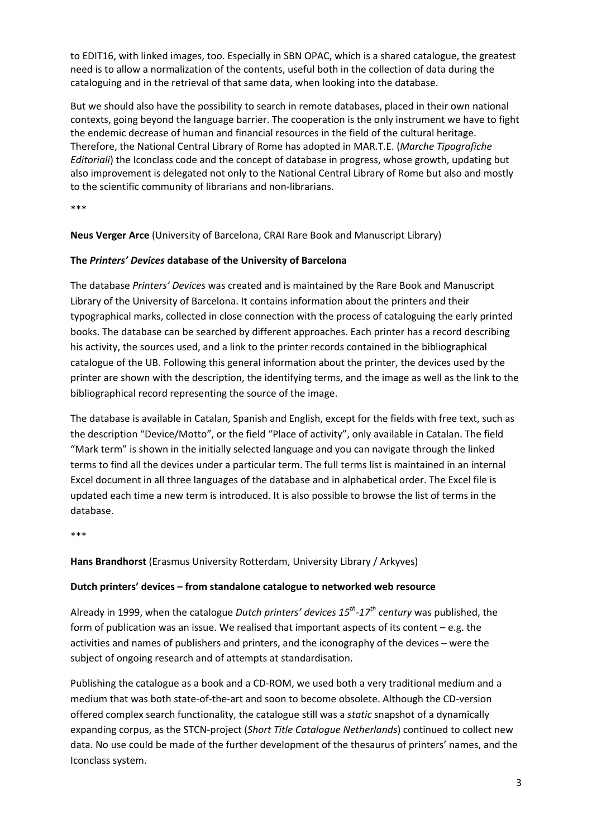to EDIT16, with linked images, too. Especially in SBN OPAC, which is a shared catalogue, the greatest need is to allow a normalization of the contents, useful both in the collection of data during the cataloguing and in the retrieval of that same data, when looking into the database.

But we should also have the possibility to search in remote databases, placed in their own national contexts, going beyond the language barrier. The cooperation is the only instrument we have to fight the endemic decrease of human and financial resources in the field of the cultural heritage. Therefore, the National Central Library of Rome has adopted in MAR.T.E. (*Marche Tipografiche Editoriali*) the Iconclass code and the concept of database in progress, whose growth, updating but also improvement is delegated not only to the National Central Library of Rome but also and mostly to the scientific community of librarians and non‐librarians.

\*\*\*

**Neus Verger Arce** (University of Barcelona, CRAI Rare Book and Manuscript Library)

### **The** *Printers' Devices* **database of the University of Barcelona**

The database *Printers' Devices* was created and is maintained by the Rare Book and Manuscript Library of the University of Barcelona. It contains information about the printers and their typographical marks, collected in close connection with the process of cataloguing the early printed books. The database can be searched by different approaches. Each printer has a record describing his activity, the sources used, and a link to the printer records contained in the bibliographical catalogue of the UB. Following this general information about the printer, the devices used by the printer are shown with the description, the identifying terms, and the image as well as the link to the bibliographical record representing the source of the image.

The database is available in Catalan, Spanish and English, except for the fields with free text, such as the description "Device/Motto", or the field "Place of activity", only available in Catalan. The field "Mark term" is shown in the initially selected language and you can navigate through the linked terms to find all the devices under a particular term. The full terms list is maintained in an internal Excel document in all three languages of the database and in alphabetical order. The Excel file is updated each time a new term is introduced. It is also possible to browse the list of terms in the database.

\*\*\*

**Hans Brandhorst** (Erasmus University Rotterdam, University Library / Arkyves)

### **Dutch printers' devices – from standalone catalogue to networked web resource**

Already in 1999, when the catalogue *Dutch printers' devices 15th‐17th century* was published, the form of publication was an issue. We realised that important aspects of its content  $-e.g.$  the activities and names of publishers and printers, and the iconography of the devices – were the subject of ongoing research and of attempts at standardisation.

Publishing the catalogue as a book and a CD‐ROM, we used both a very traditional medium and a medium that was both state‐of‐the‐art and soon to become obsolete. Although the CD‐version offered complex search functionality, the catalogue still was a *static* snapshot of a dynamically expanding corpus, as the STCN‐project (*Short Title Catalogue Netherlands*) continued to collect new data. No use could be made of the further development of the thesaurus of printers' names, and the Iconclass system.